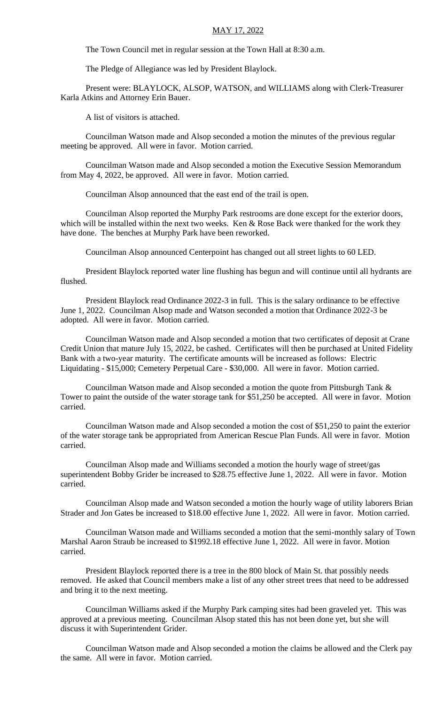## MAY 17, 2022

The Town Council met in regular session at the Town Hall at 8:30 a.m.

The Pledge of Allegiance was led by President Blaylock.

Present were: BLAYLOCK, ALSOP, WATSON, and WILLIAMS along with Clerk-Treasurer Karla Atkins and Attorney Erin Bauer.

A list of visitors is attached.

Councilman Watson made and Alsop seconded a motion the minutes of the previous regular meeting be approved. All were in favor. Motion carried.

Councilman Watson made and Alsop seconded a motion the Executive Session Memorandum from May 4, 2022, be approved. All were in favor. Motion carried.

Councilman Alsop announced that the east end of the trail is open.

Councilman Alsop reported the Murphy Park restrooms are done except for the exterior doors, which will be installed within the next two weeks. Ken & Rose Back were thanked for the work they have done. The benches at Murphy Park have been reworked.

Councilman Alsop announced Centerpoint has changed out all street lights to 60 LED.

President Blaylock reported water line flushing has begun and will continue until all hydrants are flushed.

President Blaylock read Ordinance 2022-3 in full. This is the salary ordinance to be effective June 1, 2022. Councilman Alsop made and Watson seconded a motion that Ordinance 2022-3 be adopted. All were in favor. Motion carried.

Councilman Watson made and Alsop seconded a motion that two certificates of deposit at Crane Credit Union that mature July 15, 2022, be cashed. Certificates will then be purchased at United Fidelity Bank with a two-year maturity. The certificate amounts will be increased as follows: Electric Liquidating - \$15,000; Cemetery Perpetual Care - \$30,000. All were in favor. Motion carried.

Councilman Watson made and Alsop seconded a motion the quote from Pittsburgh Tank & Tower to paint the outside of the water storage tank for \$51,250 be accepted. All were in favor. Motion carried.

Councilman Watson made and Alsop seconded a motion the cost of \$51,250 to paint the exterior of the water storage tank be appropriated from American Rescue Plan Funds. All were in favor. Motion carried.

Councilman Alsop made and Williams seconded a motion the hourly wage of street/gas superintendent Bobby Grider be increased to \$28.75 effective June 1, 2022. All were in favor. Motion carried.

Councilman Alsop made and Watson seconded a motion the hourly wage of utility laborers Brian Strader and Jon Gates be increased to \$18.00 effective June 1, 2022. All were in favor. Motion carried.

Councilman Watson made and Williams seconded a motion that the semi-monthly salary of Town Marshal Aaron Straub be increased to \$1992.18 effective June 1, 2022. All were in favor. Motion carried.

President Blaylock reported there is a tree in the 800 block of Main St. that possibly needs removed. He asked that Council members make a list of any other street trees that need to be addressed and bring it to the next meeting.

Councilman Williams asked if the Murphy Park camping sites had been graveled yet. This was approved at a previous meeting. Councilman Alsop stated this has not been done yet, but she will discuss it with Superintendent Grider.

Councilman Watson made and Alsop seconded a motion the claims be allowed and the Clerk pay the same. All were in favor. Motion carried.